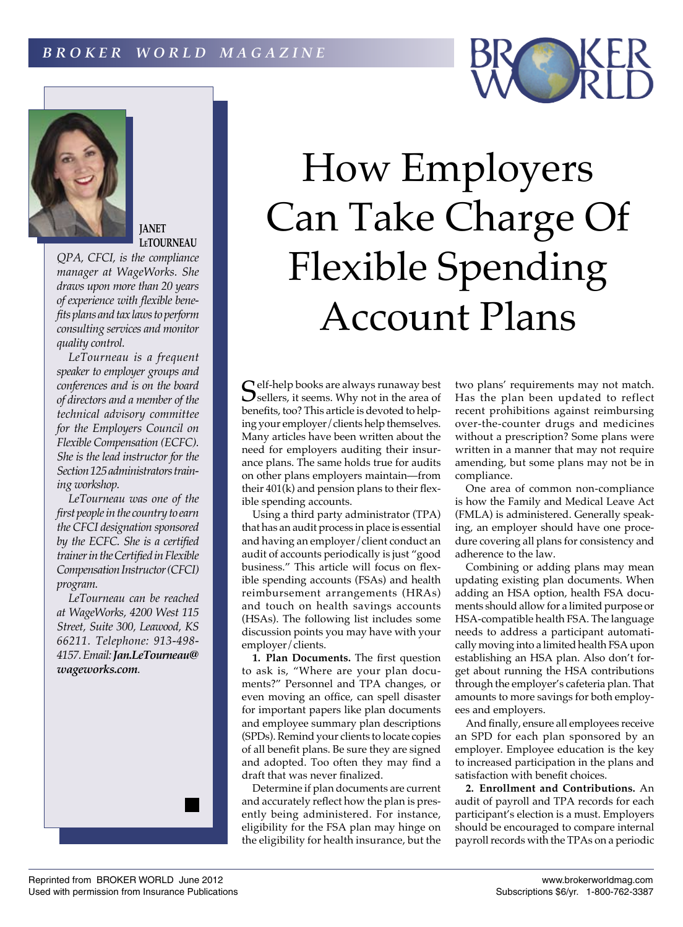## *B R O K E R W O R L D M A G A Z I N E*



**JANET LeTOURNEAU**

*QPA, CFCI, is the compliance manager at WageWorks. She draws upon more than 20 years of experience with flexible benefits plans and tax laws to perform consulting services and monitor quality control.*

*LeTourneau is a frequent speaker to employer groups and conferences and is on the board of directors and a member of the technical advisory committee for the Employers Council on Flexible Compensation (ECFC). She is the lead instructor for the Section 125 administrators training workshop.*

*LeTourneau was one of the first people in the country to earn the CFCI designation sponsored by the ECFC. She is a certified trainer in the Certified in Flexible Compensation Instructor (CFCI) program.*

*LeTourneau can be reached at WageWorks, 4200 West 115 Street, Suite 300, Leawood, KS 66211. Telephone: 913-498- 4157. Email: Jan.LeTourneau@ wageworks.com.*



 $\mathbb C$  elf-help books are always runaway best  $\sum$  sellers, it seems. Why not in the area of benefits, too? This article is devoted to helping your employer/clients help themselves. Many articles have been written about the need for employers auditing their insurance plans. The same holds true for audits on other plans employers maintain—from their 401(k) and pension plans to their flexible spending accounts.

Using a third party administrator (TPA) that has an audit process in place is essential and having an employer/client conduct an audit of accounts periodically is just "good business." This article will focus on flexible spending accounts (FSAs) and health reimbursement arrangements (HRAs) and touch on health savings accounts (HSAs). The following list includes some discussion points you may have with your employer/clients.

**1. Plan Documents.** The first question to ask is, "Where are your plan documents?" Personnel and TPA changes, or even moving an office, can spell disaster for important papers like plan documents and employee summary plan descriptions (SPDs). Remind your clients to locate copies of all benefit plans. Be sure they are signed and adopted. Too often they may find a draft that was never finalized.

Determine if plan documents are current and accurately reflect how the plan is presently being administered. For instance, eligibility for the FSA plan may hinge on the eligibility for health insurance, but the

two plans' requirements may not match. Has the plan been updated to reflect recent prohibitions against reimbursing over-the-counter drugs and medicines without a prescription? Some plans were written in a manner that may not require amending, but some plans may not be in compliance.

One area of common non-compliance is how the Family and Medical Leave Act (FMLA) is administered. Generally speaking, an employer should have one procedure covering all plans for consistency and adherence to the law.

Combining or adding plans may mean updating existing plan documents. When adding an HSA option, health FSA documents should allow for a limited purpose or HSA-compatible health FSA. The language needs to address a participant automatically moving into a limited health FSA upon establishing an HSA plan. Also don't forget about running the HSA contributions through the employer's cafeteria plan. That amounts to more savings for both employees and employers.

And finally, ensure all employees receive an SPD for each plan sponsored by an employer. Employee education is the key to increased participation in the plans and satisfaction with benefit choices.

**2. Enrollment and Contributions.** An audit of payroll and TPA records for each participant's election is a must. Employers should be encouraged to compare internal payroll records with the TPAs on a periodic